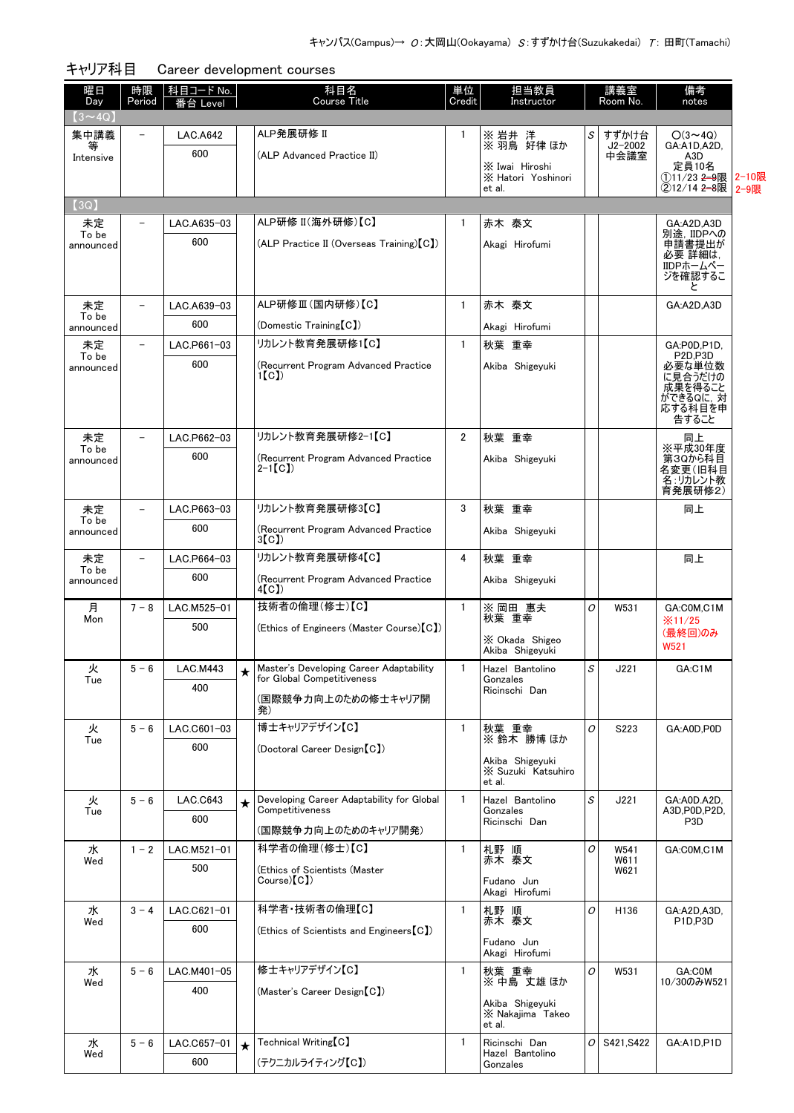| 曜日<br>Day          | 時限<br>Period             | 科目コード No.<br>番台 Level |         | 科目名<br><b>Course Title</b>                                            | 単位<br>Credit   | 担当教員<br>Instructor                   |                                                           | 講義室<br>Room No.     | 備考<br>notes                                    |       |
|--------------------|--------------------------|-----------------------|---------|-----------------------------------------------------------------------|----------------|--------------------------------------|-----------------------------------------------------------|---------------------|------------------------------------------------|-------|
| $(3 \sim 4Q)$      |                          |                       |         |                                                                       |                |                                      |                                                           |                     |                                                |       |
| 集中講義               | $\qquad \qquad -$        | <b>LAC.A642</b>       |         | ALP発展研修 II                                                            | 1              | ※ 岩井 洋<br>※ 羽鳥 好律 ほか                 | S                                                         | すずかけ台               | $O(3 \sim 4Q)$                                 |       |
| 等<br>Intensive     |                          | 600                   |         | (ALP Advanced Practice II)                                            |                |                                      |                                                           | $J2 - 2002$<br>中会議室 | GA:A1D,A2D,<br>A3D                             |       |
|                    |                          |                       |         |                                                                       |                | X Iwai Hiroshi<br>X Hatori Yoshinori |                                                           |                     | 定員10名<br>①11/23 <del>2-9</del> 限               | 2-10限 |
|                    |                          |                       |         |                                                                       |                | et al.                               |                                                           |                     | ②12/14 2-8限                                    | 2-9限  |
| (3Q)               |                          |                       |         | ALP研修 II(海外研修)【C】                                                     |                |                                      |                                                           |                     |                                                |       |
| 未定<br>To be        |                          | LAC.A635-03<br>600    |         |                                                                       | 1              | 赤木 泰文                                |                                                           |                     | GA:A2D,A3D<br>別途, IIDPへの                       |       |
| announced          |                          |                       |         | (ALP Practice II (Overseas Training) [C])                             |                | Akagi Hirofumi                       |                                                           |                     | 申請書提出が<br>必要 詳細は,                              |       |
|                    |                          |                       |         |                                                                       |                |                                      |                                                           |                     | IIDPホームペー<br>ジを確認するこ                           |       |
|                    |                          |                       |         |                                                                       |                |                                      |                                                           |                     | と                                              |       |
| 未定<br>To be        |                          | LAC.A639-03           |         | ALP研修Ⅲ(国内研修)【C】                                                       | $\mathbf{1}$   | 赤木 泰文                                |                                                           |                     | GA:A2D,A3D                                     |       |
| announced          |                          | 600                   |         | (Domestic Training [C])                                               |                | Akagi Hirofumi                       |                                                           |                     |                                                |       |
| 未定<br>To be        | $\overline{\phantom{0}}$ | LAC.P661-03           |         | リカレント教育発展研修1【C】                                                       | $\mathbf{1}$   | 秋葉 重幸                                |                                                           |                     | GA:P0D,P1D,<br>P <sub>2D,P3D</sub>             |       |
| announced          |                          | 600                   |         | (Recurrent Program Advanced Practice<br>1 [ C ] )                     |                | Akiba Shigeyuki                      |                                                           |                     | 必要な単位数<br>に見合うだけの                              |       |
|                    |                          |                       |         |                                                                       |                |                                      |                                                           |                     | 成果を得ること<br>ができるQに, 対                           |       |
|                    |                          |                       |         |                                                                       |                |                                      |                                                           |                     | 応する科目を申<br>告すること                               |       |
| 未定                 |                          | LAC.P662-03           |         | リカレント教育発展研修2-1【C】                                                     | $\overline{2}$ | 秋葉 重幸                                |                                                           |                     | 同上                                             |       |
| To be<br>announced |                          | 600                   |         | (Recurrent Program Advanced Practice                                  |                | Akiba Shigeyuki                      |                                                           |                     | ※平成30年度<br>第30から科目                             |       |
|                    |                          |                       |         | $2-1$ [C])                                                            |                |                                      |                                                           |                     | 名変更(旧科目<br>名:リカレント教                            |       |
|                    |                          |                       |         |                                                                       |                |                                      |                                                           |                     | 育発展研修2)                                        |       |
| 未定<br>To be        |                          | LAC.P663-03           |         | リカレント教育発展研修3【C】                                                       | 3              | 秋葉 重幸                                |                                                           |                     | 同上                                             |       |
| announced          |                          | 600                   |         | (Recurrent Program Advanced Practice<br>3(C)                          |                | Akiba Shigeyuki                      |                                                           |                     |                                                |       |
| 未定                 | $\overline{\phantom{0}}$ | LAC.P664-03           |         | リカレント教育発展研修4【C】                                                       | 4              | 秋葉 重幸                                |                                                           |                     | 同上                                             |       |
| To be<br>announced |                          | 600                   |         | (Recurrent Program Advanced Practice                                  |                | Akiba Shigeyuki                      |                                                           |                     |                                                |       |
|                    |                          |                       |         | 4[C])                                                                 |                |                                      |                                                           |                     |                                                |       |
| 月<br>Mon           | $7 - 8$                  | LAC.M525-01           |         | 技術者の倫理(修士)【C】                                                         | $\mathbf{1}$   | ※ 岡田 惠夫<br>秋葉 重幸                     | O                                                         | W531                | GA:COM,C1M<br>$\frac{1}{2}$ 11/25              |       |
|                    |                          | 500                   |         | (Ethics of Engineers (Master Course) [C])                             |                | X Okada Shigeo                       |                                                           |                     | (最終回)のみ                                        |       |
|                    |                          |                       |         |                                                                       |                | Akiba Shigeyuki                      |                                                           |                     | W521                                           |       |
| 火<br>Tue           | $5 - 6$                  | <b>LAC.M443</b>       |         | Master's Developing Career Adaptability<br>for Global Competitiveness | $\mathbf{1}$   | Hazel Bantolino<br>Gonzales          | $\mathcal{S}% _{M_{1},M_{2}}^{\alpha,\beta}(\varepsilon)$ | J221                | GA:C1M                                         |       |
|                    |                          | 400                   |         | (国際競争力向上のための修士キャリア開                                                   |                | Ricinschi Dan                        |                                                           |                     |                                                |       |
|                    |                          |                       |         | 発)                                                                    |                |                                      |                                                           |                     |                                                |       |
| 火<br>Tue           | $5 - 6$                  | LAC.C601-03           |         | 博士キャリアデザイン【C】                                                         | $\mathbf{1}$   | 秋葉 重幸<br>※鈴木 勝博ほか                    | O                                                         | S223                | GA:A0D.P0D                                     |       |
|                    |                          | 600                   |         | (Doctoral Career Design [C])                                          |                | Akiba Shigeyuki                      |                                                           |                     |                                                |       |
|                    |                          |                       |         |                                                                       |                | X Suzuki Katsuhiro<br>et al.         |                                                           |                     |                                                |       |
| 火                  | $5 - 6$                  | LAC.C643              | $\star$ | Developing Career Adaptability for Global                             | $\mathbf{1}$   | Hazel Bantolino                      | S                                                         | J221                | GA:A0D.A2D.                                    |       |
| Tue                |                          | 600                   |         | Competitiveness                                                       |                | Gonzales<br>Ricinschi Dan            |                                                           |                     | A3D, P0D, P2D,<br>P <sub>3</sub> D             |       |
|                    |                          |                       |         | (国際競争力向上のためのキャリア開発)                                                   |                |                                      |                                                           |                     |                                                |       |
| 水<br>Wed           | $1 - 2$                  | LAC.M521-01           |         | 科学者の倫理(修士)【C】                                                         | $\mathbf{1}$   | 札野 順<br>赤木 泰文                        | 0                                                         | W541<br>W611        | GA:COM,C1M                                     |       |
|                    |                          | 500                   |         | (Ethics of Scientists (Master<br>Course(C)                            |                | Fudano Jun                           |                                                           | W621                |                                                |       |
|                    |                          |                       |         |                                                                       |                | Akagi Hirofumi                       |                                                           |                     |                                                |       |
| 水<br>Wed           | $3 - 4$                  | LAC.C621-01           |         | 科学者·技術者の倫理【C】                                                         | $\mathbf{1}$   | 札野 順<br>赤木 泰文                        | O                                                         | H136                | GA:A2D,A3D,<br>P <sub>1D</sub> P <sub>3D</sub> |       |
|                    |                          | 600                   |         | (Ethics of Scientists and Engineers [C])                              |                | Fudano Jun                           |                                                           |                     |                                                |       |
|                    |                          |                       |         |                                                                       |                | Akagi Hirofumi                       |                                                           |                     |                                                |       |
| 水<br>Wed           | $5 - 6$                  | LAC.M401-05           |         | 修士キャリアデザイン【C】                                                         | $\mathbf{1}$   | 秋葉 重幸<br>※中島 丈雄ほか                    | 0                                                         | W531                | GA:COM<br>10/30のみW521                          |       |
|                    |                          | 400                   |         | (Master's Career Design [C])                                          |                | Akiba Shigeyuki                      |                                                           |                     |                                                |       |
|                    |                          |                       |         |                                                                       |                | X Nakajima Takeo<br>et al.           |                                                           |                     |                                                |       |
| 水                  | $5 - 6$                  | LAC.C657-01           | $\star$ | Technical Writing [C]                                                 | 1              | Ricinschi Dan                        | O                                                         | S421, S422          | GA:A1D,P1D                                     |       |
| Wed                |                          | 600                   |         | (テクニカルライティング【C】)                                                      |                | Hazel Bantolino<br>Gonzales          |                                                           |                     |                                                |       |
|                    |                          |                       |         |                                                                       |                |                                      |                                                           |                     |                                                |       |

| キャリア科目 | Career development courses |  |
|--------|----------------------------|--|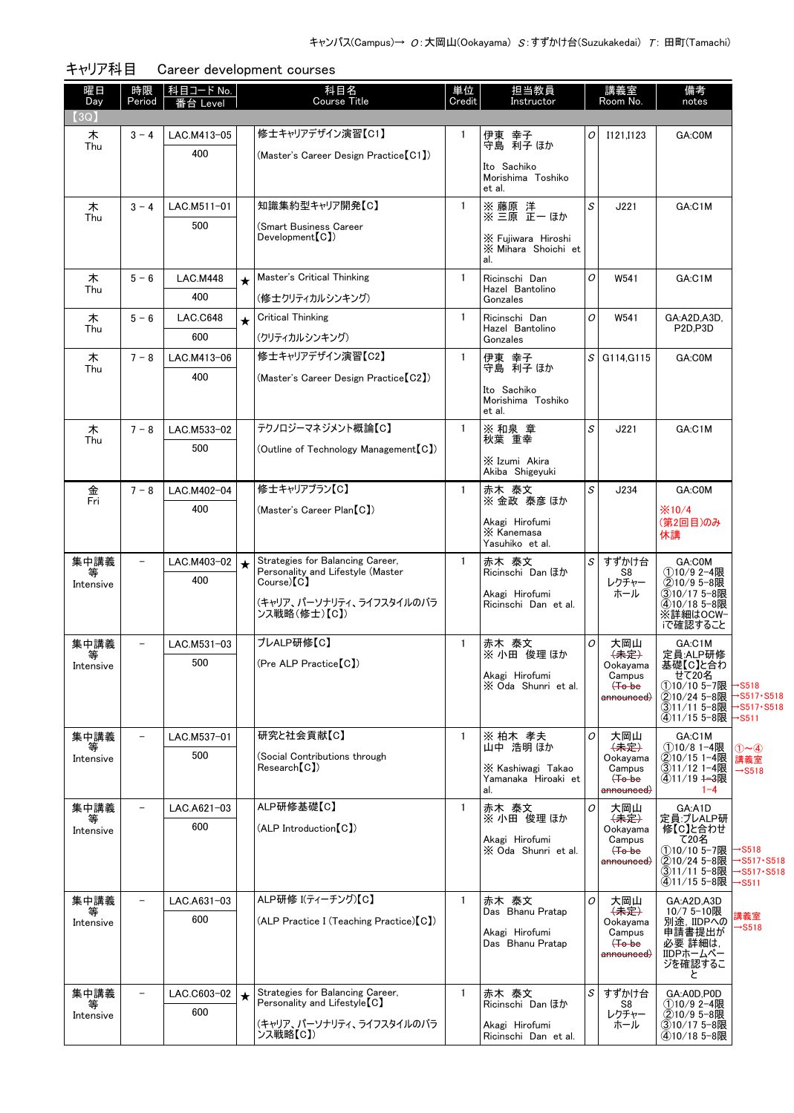| 曜日<br>Day      | 時限<br>Period             | <u>科目コード No.</u><br>番台 Level |         | 科目名<br><b>Course Title</b>                                            | 単位<br>Credit | 担当教員<br>Instructor                        |   | 講義室<br>Room No.                          | 備考<br>notes                               |                                    |
|----------------|--------------------------|------------------------------|---------|-----------------------------------------------------------------------|--------------|-------------------------------------------|---|------------------------------------------|-------------------------------------------|------------------------------------|
| [3Q]           |                          |                              |         |                                                                       |              |                                           |   |                                          |                                           |                                    |
| 木              | $3 - 4$                  | LAC.M413-05                  |         | 修士キャリアデザイン演習【C1】                                                      | $\mathbf{1}$ | 伊東 幸子                                     | 0 | I121, I123                               | GA:C0M                                    |                                    |
| Thu            |                          | 400                          |         | (Master's Career Design Practice【C1】)                                 |              | 守島 利子 ほか                                  |   |                                          |                                           |                                    |
|                |                          |                              |         |                                                                       |              | Ito Sachiko<br>Morishima Toshiko          |   |                                          |                                           |                                    |
|                |                          |                              |         |                                                                       |              | et al.                                    |   |                                          |                                           |                                    |
| 木              | $3 - 4$                  | LAC.M511-01                  |         | 知識集約型キャリア開発【C】                                                        | $\mathbf{1}$ | ※ 藤原 洋<br>※ 三原 正一 ほか                      | S | J221                                     | GA:C1M                                    |                                    |
| Thu            |                          | 500                          |         | (Smart Business Career                                                |              |                                           |   |                                          |                                           |                                    |
|                |                          |                              |         | Development[CI]                                                       |              | X Fujiwara Hiroshi<br>X Mihara Shoichi et |   |                                          |                                           |                                    |
|                |                          |                              |         |                                                                       |              | al.                                       |   |                                          |                                           |                                    |
| 木              | $5 - 6$                  | <b>LAC.M448</b>              | $\star$ | Master's Critical Thinking                                            | $\mathbf{1}$ | Ricinschi Dan                             | 0 | W541                                     | GA:C1M                                    |                                    |
| Thu            |                          | 400                          |         | (修士クリティカルシンキング)                                                       |              | Hazel Bantolino<br>Gonzales               |   |                                          |                                           |                                    |
| 木              | $5 - 6$                  | <b>LAC.C648</b>              | $\star$ | <b>Critical Thinking</b>                                              | $\mathbf{1}$ | Ricinschi Dan                             | 0 | W541                                     | GA:A2D,A3D,                               |                                    |
| Thu            |                          | 600                          |         | (クリティカルシンキング)                                                         |              | Hazel Bantolino<br>Gonzales               |   |                                          | P2D,P3D                                   |                                    |
| 木              | $7 - 8$                  | LAC.M413-06                  |         | 修士キャリアデザイン演習【C2】                                                      | $\mathbf{1}$ |                                           |   | $S$ G114, G115                           | GA:COM                                    |                                    |
| Thu            |                          | 400                          |         | (Master's Career Design Practice [C2])                                |              | 伊東 幸子<br>守島 利子 ほか                         |   |                                          |                                           |                                    |
|                |                          |                              |         |                                                                       |              | Ito Sachiko                               |   |                                          |                                           |                                    |
|                |                          |                              |         |                                                                       |              | Morishima Toshiko<br>et al.               |   |                                          |                                           |                                    |
| 木              | $7 - 8$                  | LAC.M533-02                  |         | テクノロジーマネジメント概論【C】                                                     | $\mathbf{1}$ | ※ 和泉 章                                    | S | J221                                     | GA:C1M                                    |                                    |
| Thu            |                          | 500                          |         | (Outline of Technology Management [C])                                |              | 秋葉 重幸                                     |   |                                          |                                           |                                    |
|                |                          |                              |         |                                                                       |              | X Izumi Akira                             |   |                                          |                                           |                                    |
|                |                          |                              |         |                                                                       |              | Akiba Shigeyuki                           |   |                                          |                                           |                                    |
| 金<br>Fri       | $7 - 8$                  | LAC.M402-04                  |         | 修士キャリアプラン【C】                                                          | $\mathbf{1}$ | 赤木 泰文<br>※金政 泰彦 ほか                        | S | J234                                     | GA:C0M                                    |                                    |
|                |                          | 400                          |         | (Master's Career Plan [C])                                            |              | Akagi Hirofumi                            |   |                                          | $\frac{1}{2}$ 10/4<br>(第2回目)のみ            |                                    |
|                |                          |                              |         |                                                                       |              | X Kanemasa                                |   |                                          | 休講                                        |                                    |
|                |                          |                              |         |                                                                       |              | Yasuhiko et al.                           |   |                                          |                                           |                                    |
| 集中講義<br>等      | $\overline{\phantom{0}}$ | LAC.M403-02                  |         | Strategies for Balancing Career,<br>Personality and Lifestyle (Master | $\mathbf{1}$ | 赤木 泰文<br>Ricinschi Dan ほか                 | S | すずかけ台<br>S8                              | GA:C0M<br>①10/9 2-4限                      |                                    |
| Intensive      |                          | 400                          |         | Course(C)                                                             |              | Akagi Hirofumi                            |   | レクチャー<br>ホール                             | ②10/9 5-8限<br>③10/17 5-8限                 |                                    |
|                |                          |                              |         | (キャリア、パーソナリティ、ライフスタイルのバラ<br>ンス戦略(修士)【C】)                              |              | Ricinschi Dan et al.                      |   |                                          | 4)10/18 5-8限<br>※詳細はOCW-                  |                                    |
|                |                          |                              |         |                                                                       |              |                                           |   |                                          | iで確認すること                                  |                                    |
| 集中講義           | $\overline{\phantom{0}}$ | LAC.M531-03                  |         | プレALP研修【C】                                                            | $\mathbf{1}$ | 赤木 泰文                                     | 0 | 大岡山                                      | GA:C1M                                    |                                    |
| Intensive      |                          | 500                          |         | (Pre ALP Practice [C])                                                |              | ※ 小田 俊理 ほか                                |   | $\left( \frac{1}{2} \right)$<br>Ookayama | 定員:ALP研修<br>基礎【C】と合わ                      |                                    |
|                |                          |                              |         |                                                                       |              | Akagi Hirofumi<br>X Oda Shunri et al.     |   | Campus<br>$(+o$ be                       | せ C 20名<br>①10/10 5-7限                    | →S518                              |
|                |                          |                              |         |                                                                       |              |                                           |   | <del>announced)</del>                    | ②10/24 5-8限                               | >S517 · S518                       |
|                |                          |                              |         |                                                                       |              |                                           |   |                                          | ③11/11 5-8限<br>(4)11/15 5-8限              | →S517 · S518<br>$\rightarrow$ S511 |
| 集中講義           | $\overline{\phantom{0}}$ | LAC.M537-01                  |         | 研究と社会貢献【C】                                                            | $\mathbf{1}$ | ※ 柏木 孝夫                                   | 0 | 大岡山                                      | GA:C1M                                    |                                    |
| 等<br>Intensive |                          | 500                          |         | (Social Contributions through                                         |              | 山中 浩明 ほか                                  |   | $\left( \frac{1}{2} \right)$<br>Ookayama | ①10/8 1-4限<br>②10/15 1-4限                 | $(1)$ $\sim$ $(4)$<br>講義室          |
|                |                          |                              |         | Research [C])                                                         |              | X Kashiwagi Takao<br>Yamanaka Hiroaki et  |   | Campus<br>$(+o$ be                       | (3)11/12 1-4限<br>4011/19 <del>1-3</del> 限 | $\rightarrow$ S518                 |
|                |                          |                              |         |                                                                       |              | al.                                       |   | <del>announced)</del>                    | $1 - 4$                                   |                                    |
| 集中講義           | $\overline{\phantom{0}}$ | LAC.A621-03                  |         | ALP研修基礎【C】                                                            | $\mathbf{1}$ | 赤木 泰文<br>※ 小田 俊理 ほか                       | 0 | 大岡山                                      | GA:A1D<br>定員:プレALP研                       |                                    |
| 等<br>Intensive |                          | 600                          |         | (ALP Introduction【C】)                                                 |              |                                           |   | $\leftarrow$ $\leftarrow$<br>Ookayama    | 修【C】と合わせ                                  |                                    |
|                |                          |                              |         |                                                                       |              | Akagi Hirofumi<br>X Oda Shunri et al.     |   | Campus<br>$H_0$ be                       | て20名<br>①10/10 5-7限                       | →S518                              |
|                |                          |                              |         |                                                                       |              |                                           |   | <del>announced)</del>                    | ②10/24 5-8限<br>(3)11/11 5-8限              | →S517 • S518                       |
|                |                          |                              |         |                                                                       |              |                                           |   |                                          | ④11/15 5-8限                               | $\rightarrow$ S511                 |
| 集中講義           | $\overline{\phantom{0}}$ | LAC.A631-03                  |         | ALP研修 I(ティーチング)【C】                                                    | 1            | 赤木 泰文                                     | 0 | 大岡山                                      | GA:A2D,A3D                                |                                    |
| 等<br>Intensive |                          | 600                          |         | (ALP Practice I (Teaching Practice) [C])                              |              | Das Bhanu Pratap                          |   | 〈未定〉<br>Ookayama                         | $10/75 - 10$ 限<br>別途, IIDPへの              | 冓義室<br><b>&gt;S518</b>             |
|                |                          |                              |         |                                                                       |              | Akagi Hirofumi<br>Das Bhanu Pratap        |   | Campus<br><del>(To be</del>              | 申請書提出が<br>必要 詳細は,                         |                                    |
|                |                          |                              |         |                                                                       |              |                                           |   | <del>announced)</del>                    | IIDPホームペー<br>ジを確認するこ                      |                                    |
|                |                          |                              |         |                                                                       |              |                                           |   |                                          | と                                         |                                    |
| 集中講義           |                          | LAC.C603-02                  |         | Strategies for Balancing Career,                                      | $\mathbf{1}$ | 赤木 泰文                                     | S | すずかけ台                                    | GA:A0D,P0D                                |                                    |
| Intensive      |                          | 600                          |         | Personality and Lifestyle [C]                                         |              | Ricinschi Dan ほか                          |   | S8<br>レクチャー                              | ①10/9 2-4限<br>②10/9 5-8限                  |                                    |
|                |                          |                              |         | (キャリア、パーソナリティ、ライフスタイルのバラ<br>ンス戦略【C】)                                  |              | Akagi Hirofumi<br>Ricinschi Dan et al.    |   | ホール                                      | ③10/17 5-8限<br>410/18 5-8限                |                                    |

キャリア科目 Career development courses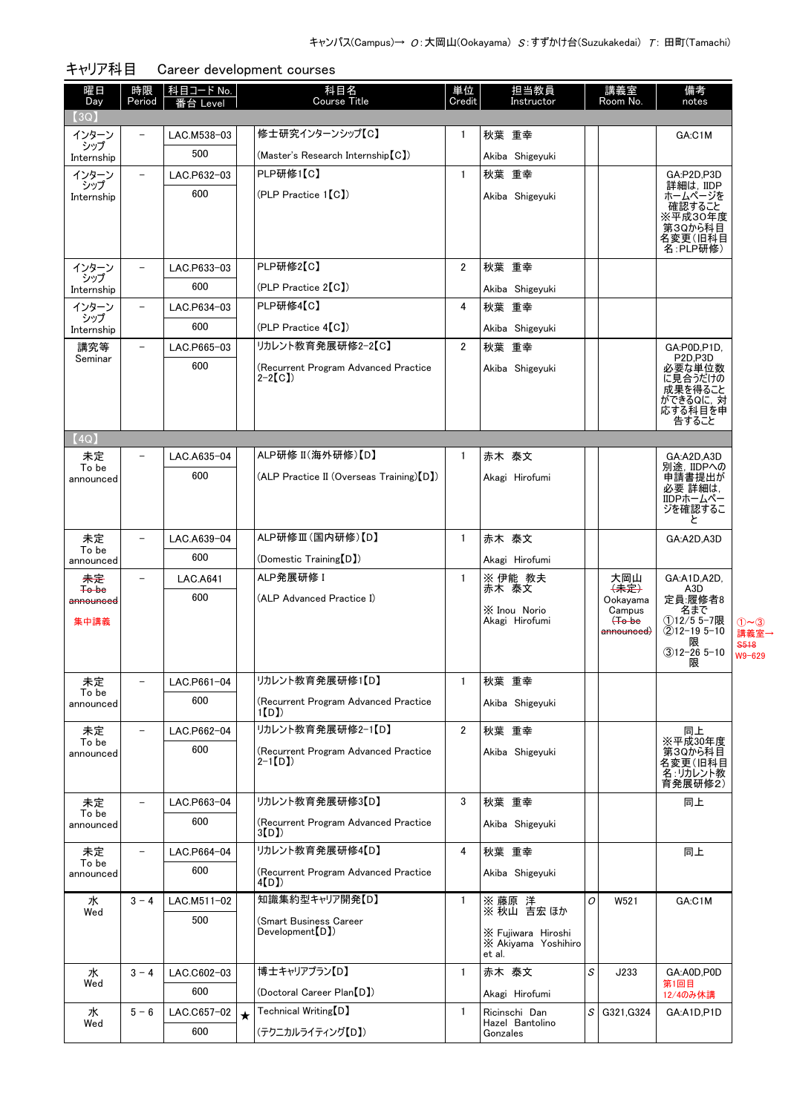| 曜日<br>Day          | 時限<br>Period             | 科目コード No.<br>i台 Level |         | 科目名<br><b>Course Title</b>                         | 単位<br>Credit   | 担当教員<br>Instructor                        |          | 講義室<br>Room No.                          | 備考<br>notes                                |                         |
|--------------------|--------------------------|-----------------------|---------|----------------------------------------------------|----------------|-------------------------------------------|----------|------------------------------------------|--------------------------------------------|-------------------------|
| (3Q)               |                          |                       |         |                                                    |                |                                           |          |                                          |                                            |                         |
| インターン              | $\overline{\phantom{0}}$ | LAC.M538-03           |         | 修士研究インターンシップ【C】                                    | 1              | 秋葉 重幸                                     |          |                                          | GA:C1M                                     |                         |
| シップ<br>Internship  |                          | 500                   |         | (Master's Research Internship [C])                 |                | Akiba Shigeyuki                           |          |                                          |                                            |                         |
| インターン              |                          | LAC.P632-03           |         | PLP研修1【C】                                          | $\mathbf{1}$   | 秋葉 重幸                                     |          |                                          | GA:P2D.P3D                                 |                         |
| シップ<br>Internship  |                          | 600                   |         | $(PLP$ Practice $1[CI]$                            |                | Akiba Shigeyuki                           |          |                                          | 詳細は, IIDP<br>ホームページを                       |                         |
|                    |                          |                       |         |                                                    |                |                                           |          |                                          | 確認すること<br>※平成30年度                          |                         |
|                    |                          |                       |         |                                                    |                |                                           |          |                                          | 第3Qから科目<br>名変更(旧科目<br>名:PLP研修)             |                         |
| インターン              | $\overline{\phantom{0}}$ | LAC.P633-03           |         | PLP研修2【C】                                          | $\overline{2}$ | 秋葉 重幸                                     |          |                                          |                                            |                         |
| シップ<br>Internship  |                          | 600                   |         | $(PLP$ Practice $2[CI]$                            |                | Akiba Shigeyuki                           |          |                                          |                                            |                         |
| インターン              | $\equiv$                 | LAC.P634-03           |         | PLP研修4【C】                                          | 4              | 秋葉 重幸                                     |          |                                          |                                            |                         |
| シップ<br>Internship  |                          | 600                   |         | (PLP Practice 4[C])                                |                | Akiba Shigeyuki                           |          |                                          |                                            |                         |
| 講究等                | $\equiv$                 | LAC.P665-03           |         | リカレント教育発展研修2-2【C】                                  | $\overline{2}$ | 秋葉 重幸                                     |          |                                          | GA:P0D.P1D.                                |                         |
| Seminar            |                          | 600                   |         | (Recurrent Program Advanced Practice               |                | Akiba Shigeyuki                           |          |                                          | P <sub>2D</sub> ,P <sub>3D</sub><br>必要な単位数 |                         |
|                    |                          |                       |         | $2-2[CI]$                                          |                |                                           |          |                                          | に見合うだけの<br>成果を得ること                         |                         |
|                    |                          |                       |         |                                                    |                |                                           |          |                                          | ができるQに, 対                                  |                         |
|                    |                          |                       |         |                                                    |                |                                           |          |                                          | 応する科目を申<br>告すること                           |                         |
| (4Q)               |                          |                       |         |                                                    |                |                                           |          |                                          |                                            |                         |
| 未定<br>To be        | $\overline{\phantom{0}}$ | LAC.A635-04           |         | ALP研修 II(海外研修)【D】                                  | $\mathbf{1}$   | 赤木 泰文                                     |          |                                          | GA:A2D.A3D<br>別途, IIDPへの                   |                         |
| announced          |                          | 600                   |         | (ALP Practice II (Overseas Training) [D])          |                | Akagi Hirofumi                            |          |                                          | 申請書提出が<br>必要 詳細は,                          |                         |
|                    |                          |                       |         |                                                    |                |                                           |          |                                          | IIDPホームペー                                  |                         |
|                    |                          |                       |         |                                                    |                |                                           |          |                                          | ジを確認するこ<br>と                               |                         |
| 未定                 |                          | LAC.A639-04           |         | ALP研修Ⅲ(国内研修)【D】                                    | $\mathbf{1}$   | 赤木 泰文                                     |          |                                          | GA:A2D,A3D                                 |                         |
| To be<br>announced |                          | 600                   |         | (Domestic Training [D])                            |                | Akagi Hirofumi                            |          |                                          |                                            |                         |
| 未定                 |                          | <b>LAC.A641</b>       |         | ALP発展研修 I                                          | $\mathbf{1}$   | ※ 伊能 教夫                                   |          | 大岡山                                      | GA:A1D,A2D,                                |                         |
| To be<br>announced |                          | 600                   |         | (ALP Advanced Practice I)                          |                | 赤木 泰文                                     |          | $\left( \frac{1}{2} \right)$<br>Ookavama | A3D<br>定員:履修者8                             |                         |
| 集中講義               |                          |                       |         |                                                    |                | X Inou Norio<br>Akagi Hirofumi            |          | Campus<br>$H_0$ be                       | 名まで<br>①12/5 5-7限                          | $(1)$ ~ (3)             |
|                    |                          |                       |         |                                                    |                |                                           |          | announced)                               | $(2)12 - 195 - 10$<br>限                    | 講義室-<br><del>S518</del> |
|                    |                          |                       |         |                                                    |                |                                           |          |                                          | $(3)12 - 265 - 10$<br>限                    | W9-629                  |
| 未定                 | $\overline{\phantom{0}}$ | LAC.P661-04           |         | リカレント教育発展研修1【D】                                    | $\mathbf{1}$   | 秋葉 重幸                                     |          |                                          |                                            |                         |
| To be<br>announced |                          | 600                   |         | (Recurrent Program Advanced Practice               |                | Akiba Shigeyuki                           |          |                                          |                                            |                         |
|                    |                          |                       |         | 1(D)                                               |                |                                           |          |                                          |                                            |                         |
| 未定<br>To be        | $\overline{\phantom{0}}$ | LAC.P662-04           |         | リカレント教育発展研修2-1【D】                                  | $\overline{2}$ | 秋葉 重幸                                     |          |                                          | 同上<br>※平成30年度                              |                         |
| announced          |                          | 600                   |         | (Recurrent Program Advanced Practice<br>$2-1$ [D]) |                | Akiba Shigeyuki                           |          |                                          | 第3Qから科目<br>名変更(旧科目                         |                         |
|                    |                          |                       |         |                                                    |                |                                           |          |                                          | 名:リカレント教<br>育発展研修2)                        |                         |
| 未定                 |                          | LAC.P663-04           |         | リカレント教育発展研修3【D】                                    | 3              | 秋葉 重幸                                     |          |                                          | 同上                                         |                         |
| To be<br>announced |                          | 600                   |         | (Recurrent Program Advanced Practice               |                | Akiba Shigeyuki                           |          |                                          |                                            |                         |
|                    |                          |                       |         | 3(D)                                               |                |                                           |          |                                          |                                            |                         |
| 未定<br>To be        | $\qquad \qquad -$        | LAC.P664-04           |         | リカレント教育発展研修4【D】                                    | 4              | 秋葉 重幸                                     |          |                                          | 同上                                         |                         |
| announced          |                          | 600                   |         | (Recurrent Program Advanced Practice<br>4(D)       |                | Akiba Shigeyuki                           |          |                                          |                                            |                         |
| 水                  | $3 - 4$                  | LAC.M511-02           |         | 知識集約型キャリア開発【D】                                     | $\mathbf{1}$   | ※ 藤原 洋<br>※ 秋山 吉宏 ほか                      | $\cal O$ | W521                                     | GA:C1M                                     |                         |
| Wed                |                          | 500                   |         | (Smart Business Career                             |                |                                           |          |                                          |                                            |                         |
|                    |                          |                       |         | Development <sup>[D]</sup> )                       |                | X Fujiwara Hiroshi<br>X Akiyama Yoshihiro |          |                                          |                                            |                         |
|                    |                          |                       |         |                                                    |                | et al.                                    |          |                                          |                                            |                         |
| 水<br>Wed           | $3 - 4$                  | LAC.C602-03           |         | 博士キャリアプラン【D】                                       | $\mathbf{1}$   | 赤木 泰文                                     | S        | J233                                     | GA:A0D,P0D<br>第1回目                         |                         |
|                    |                          | 600                   |         | (Doctoral Career Plan [D])                         |                | Akagi Hirofumi                            |          |                                          | 12/4のみ休講                                   |                         |
| 水<br>Wed           | $5 - 6$                  | LAC.C657-02           | $\star$ | Technical Writing <sup>[D]</sup>                   | $\mathbf{1}$   | Ricinschi Dan<br>Hazel Bantolino          | S        | G321, G324                               | GA:A1D,P1D                                 |                         |
|                    |                          | 600                   |         | (テクニカルライティング【D】)                                   |                | Gonzales                                  |          |                                          |                                            |                         |

## キャリア科目 Career development courses

講義室→ S518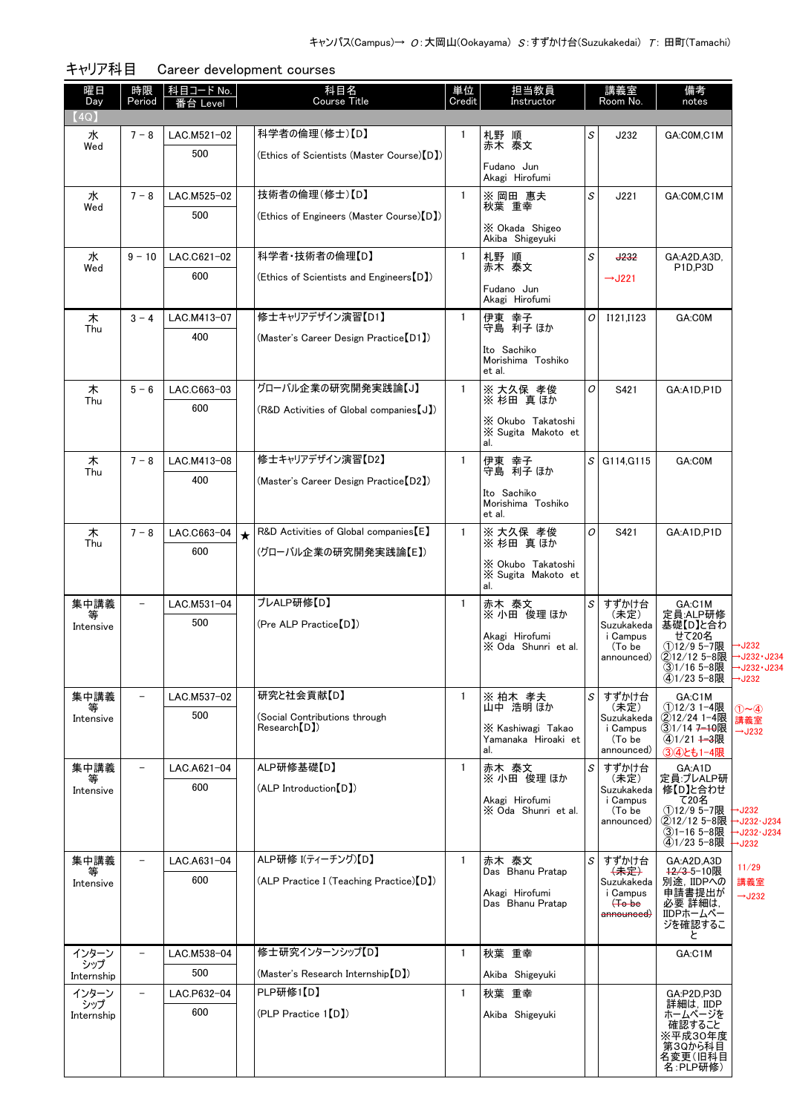| 曜日<br>Day      | 時限<br>Period             | <u> 科目コード No.</u><br>≸台 Level |         | 科目名<br><b>Course Title</b>                 | 単位<br>Credit | 担当教員<br>Instructor                       |   | 講義室<br>Room No.        | 備考<br>notes                               |                                  |
|----------------|--------------------------|-------------------------------|---------|--------------------------------------------|--------------|------------------------------------------|---|------------------------|-------------------------------------------|----------------------------------|
| (4Q)           |                          |                               |         |                                            |              |                                          |   |                        |                                           |                                  |
| 水              | $7 - 8$                  | LAC.M521-02                   |         | 科学者の倫理(修士)【D】                              | $\mathbf{1}$ | 札野 順                                     | S | J232                   | GA:COM,C1M                                |                                  |
| Wed            |                          | 500                           |         | (Ethics of Scientists (Master Course) [D]) |              | 赤木 泰文                                    |   |                        |                                           |                                  |
|                |                          |                               |         |                                            |              | Fudano Jun<br>Akagi Hirofumi             |   |                        |                                           |                                  |
| 水              | $7 - 8$                  | LAC.M525-02                   |         | 技術者の倫理(修士)【D】                              | $\mathbf{1}$ | ※ 岡田 惠夫                                  | S | J221                   | GA:C0M,C1M                                |                                  |
| Wed            |                          | 500                           |         | (Ethics of Engineers (Master Course) [D])  |              | 秋葉 重幸                                    |   |                        |                                           |                                  |
|                |                          |                               |         |                                            |              | X Okada Shigeo<br>Akiba Shigeyuki        |   |                        |                                           |                                  |
| 水              | $9 - 10$                 | LAC.C621-02                   |         | 科学者·技術者の倫理【D】                              | $\mathbf{1}$ | 札野 順                                     | S | <b>J232</b>            | GA:A2D,A3D,                               |                                  |
| Wed            |                          | 600                           |         | (Ethics of Scientists and Engineers [D])   |              | 赤木 泰文                                    |   | $\rightarrow$ J221     | P1D,P3D                                   |                                  |
|                |                          |                               |         |                                            |              | Fudano Jun<br>Akagi Hirofumi             |   |                        |                                           |                                  |
| 木              | $3 - 4$                  | LAC.M413-07                   |         | 修士キャリアデザイン演習【D1】                           | $\mathbf{1}$ | 伊東 幸子                                    | 0 | I121.I123              | GA:C0M                                    |                                  |
| Thu            |                          | 400                           |         | (Master's Career Design Practice [D1])     |              | 守島 利子 ほか                                 |   |                        |                                           |                                  |
|                |                          |                               |         |                                            |              | Ito Sachiko<br>Morishima Toshiko         |   |                        |                                           |                                  |
|                |                          |                               |         |                                            |              | et al.                                   |   |                        |                                           |                                  |
| 木<br>Thu       | $5 - 6$                  | LAC.C663-03                   |         | グローバル企業の研究開発実践論【J】                         | $\mathbf{1}$ | ※ 大久保 孝俊<br>※ 杉田 真ほか                     | 0 | S421                   | GA:A1D,P1D                                |                                  |
|                |                          | 600                           |         | (R&D Activities of Global companies [J])   |              | X Okubo Takatoshi                        |   |                        |                                           |                                  |
|                |                          |                               |         |                                            |              | X Sugita Makoto et                       |   |                        |                                           |                                  |
| 木              | $7 - 8$                  | LAC.M413-08                   |         | 修士キャリアデザイン演習【D2】                           | $\mathbf{1}$ | al.                                      | s | G114, G115             | GA:C0M                                    |                                  |
| Thu            |                          | 400                           |         | (Master's Career Design Practice [D2])     |              | 伊東 幸子<br>守島 利子 ほか                        |   |                        |                                           |                                  |
|                |                          |                               |         |                                            |              | Ito Sachiko                              |   |                        |                                           |                                  |
|                |                          |                               |         |                                            |              | Morishima Toshiko<br>et al.              |   |                        |                                           |                                  |
| 木              | $7 - 8$                  | LAC.C663-04                   | $\star$ | R&D Activities of Global companies [E]     | $\mathbf{1}$ | ※大久保 孝俊                                  | 0 | S421                   | GA:A1D,P1D                                |                                  |
| Thu            |                          | 600                           |         | (グローバル企業の研究開発実践論【E】)                       |              | ※杉田 真ほか                                  |   |                        |                                           |                                  |
|                |                          |                               |         |                                            |              | X Okubo Takatoshi<br>X Sugita Makoto et  |   |                        |                                           |                                  |
|                |                          |                               |         | プレALP研修【D】                                 | $\mathbf{1}$ | al.                                      |   |                        |                                           |                                  |
| 集中講義<br>等      |                          | LAC.M531-04<br>500            |         | (Pre ALP Practice [D])                     |              | 赤木 泰文<br>※ 小田 俊理 ほか                      | S | すずかけ台<br>(未定)          | GA:C1M<br>定員:ALP研修                        |                                  |
| Intensive      |                          |                               |         |                                            |              | Akagi Hirofumi                           |   | Suzukakeda<br>i Campus | 基礎【D】と合わ<br>せて20名                         |                                  |
|                |                          |                               |         |                                            |              | X Oda Shunri et al.                      |   | (To be<br>announced)   | ①12/9 5-7限<br>②12/12 5-8限                 | →J232<br>→J232 · J234            |
|                |                          |                               |         |                                            |              |                                          |   |                        | ③1/16 5-8限<br>④1/23 5-8限                  | →J232 <del>-</del> J234<br>→J232 |
| 集中講義           | $\qquad \qquad -$        | LAC.M537-02                   |         | 研究と社会貢献【D】                                 | $\mathbf{1}$ | ※ 柏木 孝夫                                  | S | すずかけ台                  | GA:C1M                                    |                                  |
| 等<br>Intensive |                          | 500                           |         | (Social Contributions through              |              | 山中 浩明 ほか                                 |   | (未定)<br>Suzukakeda     | ①12/3 1-4限<br>②12/24 1-4限                 | $(1)$ $\sim$ $(4)$<br>講義室        |
|                |                          |                               |         | Research(DI)                               |              | X Kashiwagi Takao<br>Yamanaka Hiroaki et |   | i Campus<br>(To be     | ③1/14 <del>7-10</del> 限<br>$(4)1/21 + 3R$ | $\rightarrow$ J232               |
|                |                          |                               |         |                                            |              | al.                                      |   | announced)             | 34とも1-4限                                  |                                  |
| 集中講義<br>等      | $\qquad \qquad -$        | LAC.A621-04                   |         | ALP研修基礎【D】                                 | $\mathbf{1}$ | 赤木 泰文<br>※ 小田 俊理 ほか                      | S | すずかけ台<br>(未定)          | GA:A1D<br>定員:プレALP研                       |                                  |
| Intensive      |                          | 600                           |         | (ALP Introduction [D])                     |              | Akagi Hirofumi                           |   | Suzukakeda<br>i Campus | 修【D】と合わせ<br>て20名                          |                                  |
|                |                          |                               |         |                                            |              | X Oda Shunri et al.                      |   | (To be<br>announced)   | ①12/9 5-7限<br>②12/12 5-8限                 | →J232<br>→J232·J234              |
|                |                          |                               |         |                                            |              |                                          |   |                        | ③1-16 5-8限<br>(4)1/23 5-8限                | →J232·J234<br>$\rightarrow$ J232 |
| 集中講義           |                          | LAC.A631-04                   |         | ALP研修 I(ティーチング)【D】                         | $\mathbf{1}$ | 赤木 泰文                                    | S | すずかけ台                  | GA:A2D,A3D                                | 11/29                            |
| ₩<br>Intensive |                          | 600                           |         | (ALP Practice I (Teaching Practice) [D])   |              | Das Bhanu Pratap                         |   | (未定)<br>Suzukakeda     | 42/3-5-10限<br>別途, IIDPへの                  | 講義室                              |
|                |                          |                               |         |                                            |              | Akagi Hirofumi<br>Das Bhanu Pratap       |   | i Campus<br>$(+o$ be   | 申請書提出が<br>必要 詳細は,                         | $\rightarrow$ J232               |
|                |                          |                               |         |                                            |              |                                          |   | <del>announced</del> ) | IIDPホームペー<br>ジを確認するこ                      |                                  |
|                |                          |                               |         |                                            |              |                                          |   |                        | と                                         |                                  |
| インターン<br>シップ   | $\equiv$                 | LAC.M538-04                   |         | 修士研究インターンシップ【D】                            | $\mathbf{1}$ | 秋葉 重幸                                    |   |                        | GA:C1M                                    |                                  |
| Internship     |                          | 500                           |         | (Master's Research Internship [D])         |              | Akiba Shigeyuki                          |   |                        |                                           |                                  |
| インターン<br>シップ   | $\overline{\phantom{a}}$ | LAC.P632-04                   |         | PLP研修1【D】                                  | $\mathbf{1}$ | 秋葉 重幸                                    |   |                        | GA:P2D,P3D<br>詳細は, IIDP                   |                                  |
| Internship     |                          | 600                           |         | (PLP Practice 1 [D])                       |              | Akiba Shigeyuki                          |   |                        | ホームページを<br>確認すること                         |                                  |
|                |                          |                               |         |                                            |              |                                          |   |                        | ※平成30年度<br>第3Qから科目                        |                                  |
|                |                          |                               |         |                                            |              |                                          |   |                        | 名変更(旧科目<br>名:PLP研修)                       |                                  |

キャリア科目 Career development courses